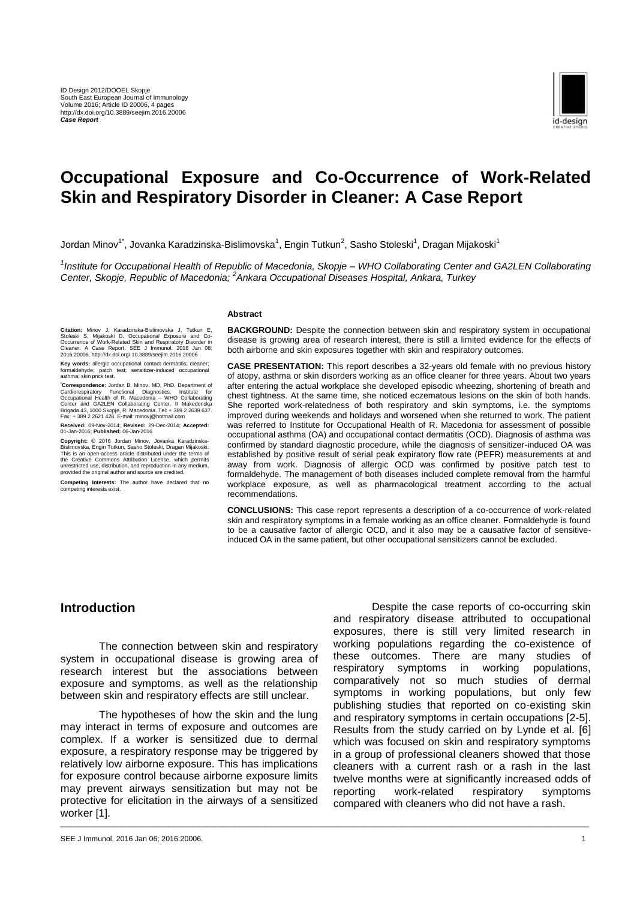

# **Occupational Exposure and Co-Occurrence of Work-Related Skin and Respiratory Disorder in Cleaner: A Case Report**

Jordan Minov $^1$ , Jovanka Karadzinska-Bislimovska $^1$ , Engin Tutkun $^2$ , Sasho Stoleski $^1$ , Dragan Mijakoski $^1$ 

*1 Institute for Occupational Health of Republic of Macedonia, Skopje – WHO Collaborating Center and GA2LEN Collaborating Center, Skopje, Republic of Macedonia; <sup>2</sup> Ankara Occupational Diseases Hospital, Ankara, Turkey*

\_\_\_\_\_\_\_\_\_\_\_\_\_\_\_\_\_\_\_\_\_\_\_\_\_\_\_\_\_\_\_\_\_\_\_\_\_\_\_\_\_\_\_\_\_\_\_\_\_\_\_\_\_\_\_\_\_\_\_\_\_\_\_\_\_\_\_\_\_\_\_\_\_\_\_\_\_\_\_\_\_\_\_\_\_\_\_\_\_\_\_\_\_\_\_\_\_\_\_\_\_\_\_\_\_\_\_\_\_\_\_\_\_\_\_\_\_\_\_\_\_\_\_\_\_\_\_

#### **Abstract**

Citation: Minov J, Karadzinska-Bislimovska J, Tutkun E,<br>Stoleski S, Mijakoski D. Occupational Exposure and Co-<br>Occurrence of Work-Related Skin and Respiratory Disorder in<br>Cleaner: A Case Report. SEE J Immunol. 2016 Jan 08;

**Key words:** allergic occupational contact dermatitis; cleaner; aldehyde; patch test; sensitizer-induced occupational asthma; skin prick test.

Correspondence: Jordan B. Minov, MD, PhD. Department of<br>Cardiorespiratory Functional Diagnostics, Institute for<br>Occupational Health of R. Macedonia – WHO Collaborating<br>Center and GA2LEN Collaborating Center, II Makedonska<br>

**Received:** 09-Nov-2014; **Revised:** 29-Dec-2014; **Accepted:** 01-Jan-2016; **Published:** 06-Jan-2016

**Copyright:** © 2016 Jordan Minov, Jovanka Karadzinska-Bislimovska, Engin Tutkun, Sasho Stoleski, Dragan Mijakoski. This is an open-access article distributed under the terms of the Creative Commons Attribution License, which permits unrestricted use, distribution, and reproduction in any medium, provided the original author and source are credited.

**Competing Interests:** The author have declared that no competing interests exist.

**BACKGROUND:** Despite the connection between skin and respiratory system in occupational disease is growing area of research interest, there is still a limited evidence for the effects of both airborne and skin exposures together with skin and respiratory outcomes.

**CASE PRESENTATION:** This report describes a 32-years old female with no previous history of atopy, asthma or skin disorders working as an office cleaner for three years. About two years after entering the actual workplace she developed episodic wheezing, shortening of breath and chest tightness. At the same time, she noticed eczematous lesions on the skin of both hands. She reported work-relatedness of both respiratory and skin symptoms, i.e. the symptoms improved during weekends and holidays and worsened when she returned to work. The patient was referred to Institute for Occupational Health of R. Macedonia for assessment of possible occupational asthma (OA) and occupational contact dermatitis (OCD). Diagnosis of asthma was confirmed by standard diagnostic procedure, while the diagnosis of sensitizer-induced OA was established by positive result of serial peak expiratory flow rate (PEFR) measurements at and away from work. Diagnosis of allergic OCD was confirmed by positive patch test to formaldehyde. The management of both diseases included complete removal from the harmful workplace exposure, as well as pharmacological treatment according to the actual recommendations.

**CONCLUSIONS:** This case report represents a description of a co-occurrence of work-related skin and respiratory symptoms in a female working as an office cleaner. Formaldehyde is found to be a causative factor of allergic OCD, and it also may be a causative factor of sensitiveinduced OA in the same patient, but other occupational sensitizers cannot be excluded.

#### **Introduction**

The connection between skin and respiratory system in occupational disease is growing area of research interest but the associations between exposure and symptoms, as well as the relationship between skin and respiratory effects are still unclear.

The hypotheses of how the skin and the lung may interact in terms of exposure and outcomes are complex. If a worker is sensitized due to dermal exposure, a respiratory response may be triggered by relatively low airborne exposure. This has implications for exposure control because airborne exposure limits may prevent airways sensitization but may not be protective for elicitation in the airways of a sensitized worker [1].

Despite the case reports of co-occurring skin and respiratory disease attributed to occupational exposures, there is still very limited research in working populations regarding the co-existence of these outcomes. There are many studies of respiratory symptoms in working populations, comparatively not so much studies of dermal symptoms in working populations, but only few publishing studies that reported on co-existing skin and respiratory symptoms in certain occupations [2-5]. Results from the study carried on by Lynde et al. [6] which was focused on skin and respiratory symptoms in a group of professional cleaners showed that those cleaners with a current rash or a rash in the last twelve months were at significantly increased odds of reporting work-related respiratory symptoms compared with cleaners who did not have a rash.

SEE J Immunol. 2016 Jan 06; 2016:20006. 1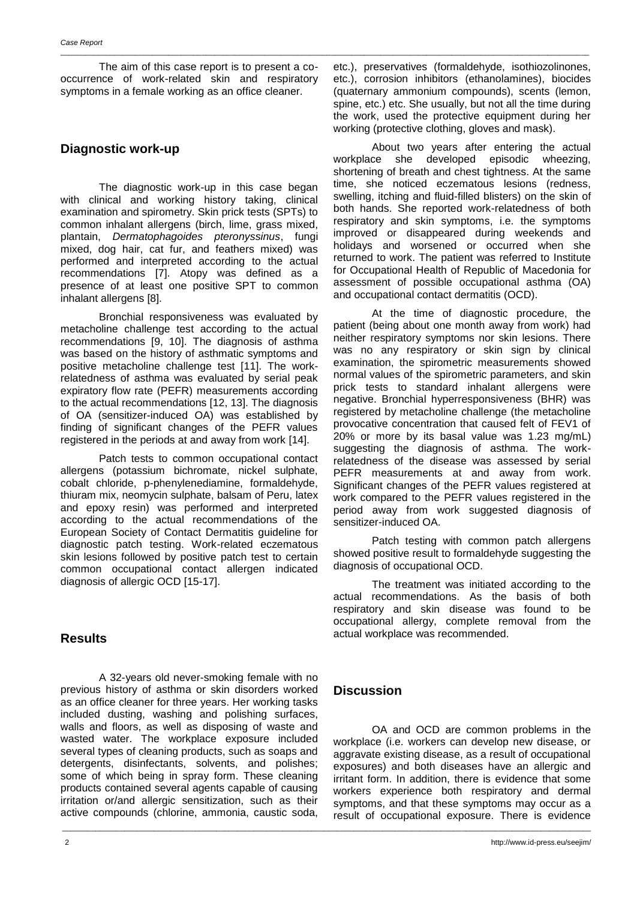The aim of this case report is to present a cooccurrence of work-related skin and respiratory symptoms in a female working as an office cleaner.

## **Diagnostic work-up**

The diagnostic work-up in this case began with clinical and working history taking, clinical examination and spirometry. Skin prick tests (SPTs) to common inhalant allergens (birch, lime, grass mixed, plantain, *Dermatophagoides pteronyssinus*, fungi mixed, dog hair, cat fur, and feathers mixed) was performed and interpreted according to the actual recommendations [7]. Atopy was defined as a presence of at least one positive SPT to common inhalant allergens [8].

Bronchial responsiveness was evaluated by metacholine challenge test according to the actual recommendations [9, 10]. The diagnosis of asthma was based on the history of asthmatic symptoms and positive metacholine challenge test [11]. The workrelatedness of asthma was evaluated by serial peak expiratory flow rate (PEFR) measurements according to the actual recommendations [12, 13]. The diagnosis of OA (sensitizer-induced OA) was established by finding of significant changes of the PEFR values registered in the periods at and away from work [14].

Patch tests to common occupational contact allergens (potassium bichromate, nickel sulphate, cobalt chloride, p-phenylenediamine, formaldehyde, thiuram mix, neomycin sulphate, balsam of Peru, latex and epoxy resin) was performed and interpreted according to the actual recommendations of the European Society of Contact Dermatitis guideline for diagnostic patch testing. Work-related eczematous skin lesions followed by positive patch test to certain common occupational contact allergen indicated diagnosis of allergic OCD [15-17].

## **Results**

A 32-years old never-smoking female with no previous history of asthma or skin disorders worked as an office cleaner for three years. Her working tasks included dusting, washing and polishing surfaces, walls and floors, as well as disposing of waste and wasted water. The workplace exposure included several types of cleaning products, such as soaps and detergents, disinfectants, solvents, and polishes; some of which being in spray form. These cleaning products contained several agents capable of causing irritation or/and allergic sensitization, such as their active compounds (chlorine, ammonia, caustic soda,

etc.), preservatives (formaldehyde, isothiozolinones, etc.), corrosion inhibitors (ethanolamines), biocides (quaternary ammonium compounds), scents (lemon, spine, etc.) etc. She usually, but not all the time during the work, used the protective equipment during her working (protective clothing, gloves and mask).

About two years after entering the actual workplace she developed episodic wheezing, shortening of breath and chest tightness. At the same time, she noticed eczematous lesions (redness, swelling, itching and fluid-filled blisters) on the skin of both hands. She reported work-relatedness of both respiratory and skin symptoms, i.e. the symptoms improved or disappeared during weekends and holidays and worsened or occurred when she returned to work. The patient was referred to Institute for Occupational Health of Republic of Macedonia for assessment of possible occupational asthma (OA) and occupational contact dermatitis (OCD).

At the time of diagnostic procedure, the patient (being about one month away from work) had neither respiratory symptoms nor skin lesions. There was no any respiratory or skin sign by clinical examination, the spirometric measurements showed normal values of the spirometric parameters, and skin prick tests to standard inhalant allergens were negative. Bronchial hyperresponsiveness (BHR) was registered by metacholine challenge (the metacholine provocative concentration that caused felt of FEV1 of 20% or more by its basal value was 1.23 mg/mL) suggesting the diagnosis of asthma. The workrelatedness of the disease was assessed by serial PEFR measurements at and away from work. Significant changes of the PEFR values registered at work compared to the PEFR values registered in the period away from work suggested diagnosis of sensitizer-induced OA.

Patch testing with common patch allergens showed positive result to formaldehyde suggesting the diagnosis of occupational OCD.

The treatment was initiated according to the actual recommendations. As the basis of both respiratory and skin disease was found to be occupational allergy, complete removal from the actual workplace was recommended.

## **Discussion**

\_\_\_\_\_\_\_\_\_\_\_\_\_\_\_\_\_\_\_\_\_\_\_\_\_\_\_\_\_\_\_\_\_\_\_\_\_\_\_\_\_\_\_\_\_\_\_\_\_\_\_\_\_\_\_\_\_\_\_\_\_\_\_\_\_\_\_\_\_\_\_\_\_\_\_\_\_\_\_\_\_\_\_\_\_\_\_\_\_\_\_\_\_\_\_\_\_\_\_\_\_\_\_\_\_\_\_\_\_\_\_\_\_\_\_\_\_\_\_\_\_\_\_\_\_\_\_

OA and OCD are common problems in the workplace (i.e. workers can develop new disease, or aggravate existing disease, as a result of occupational exposures) and both diseases have an allergic and irritant form. In addition, there is evidence that some workers experience both respiratory and dermal symptoms, and that these symptoms may occur as a result of occupational exposure. There is evidence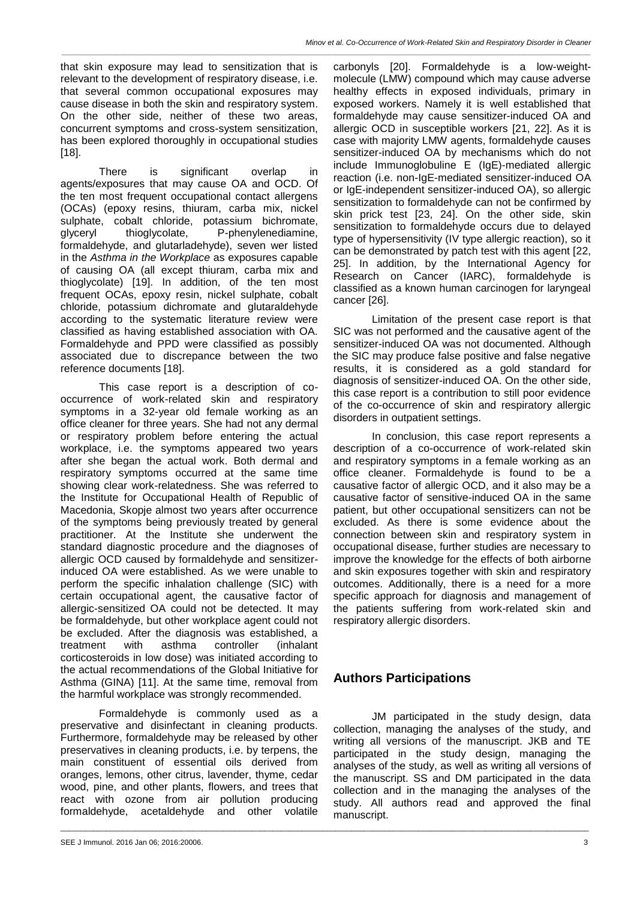*\_\_\_\_\_\_\_\_\_\_\_\_\_\_\_\_\_\_\_\_\_\_\_\_\_\_\_\_\_\_\_\_\_\_\_\_\_\_\_\_\_\_\_\_\_\_\_\_\_\_\_\_\_\_\_\_\_\_\_\_\_\_\_\_\_\_\_\_\_\_\_\_\_\_\_\_\_\_\_\_\_\_\_\_\_\_\_\_\_\_\_\_\_\_\_\_\_\_\_\_\_\_\_\_\_\_\_\_\_\_\_\_\_\_\_\_\_\_\_\_\_\_\_\_\_\_\_*

that skin exposure may lead to sensitization that is relevant to the development of respiratory disease, i.e. that several common occupational exposures may cause disease in both the skin and respiratory system. On the other side, neither of these two areas, concurrent symptoms and cross-system sensitization, has been explored thoroughly in occupational studies [18].

There is significant overlap in agents/exposures that may cause OA and OCD. Of the ten most frequent occupational contact allergens (OCAs) (epoxy resins, thiuram, carba mix, nickel sulphate, cobalt chloride, potassium bichromate, glyceryl thioglycolate, P-phenylenediamine, formaldehyde, and glutarladehyde), seven wer listed in the *Asthma in the Workplace* as exposures capable of causing OA (all except thiuram, carba mix and thioglycolate) [19]. In addition, of the ten most frequent OCAs, epoxy resin, nickel sulphate, cobalt chloride, potassium dichromate and glutaraldehyde according to the systematic literature review were classified as having established association with OA. Formaldehyde and PPD were classified as possibly associated due to discrepance between the two reference documents [18].

This case report is a description of cooccurrence of work-related skin and respiratory symptoms in a 32-year old female working as an office cleaner for three years. She had not any dermal or respiratory problem before entering the actual workplace, i.e. the symptoms appeared two years after she began the actual work. Both dermal and respiratory symptoms occurred at the same time showing clear work-relatedness. She was referred to the Institute for Occupational Health of Republic of Macedonia, Skopje almost two years after occurrence of the symptoms being previously treated by general practitioner. At the Institute she underwent the standard diagnostic procedure and the diagnoses of allergic OCD caused by formaldehyde and sensitizerinduced OA were established. As we were unable to perform the specific inhalation challenge (SIC) with certain occupational agent, the causative factor of allergic-sensitized OA could not be detected. It may be formaldehyde, but other workplace agent could not be excluded. After the diagnosis was established, a treatment with asthma controller (inhalant corticosteroids in low dose) was initiated according to the actual recommendations of the Global Initiative for Asthma (GINA) [11]. At the same time, removal from the harmful workplace was strongly recommended.

Formaldehyde is commonly used as a preservative and disinfectant in cleaning products. Furthermore, formaldehyde may be released by other preservatives in cleaning products, i.e. by terpens, the main constituent of essential oils derived from oranges, lemons, other citrus, lavender, thyme, cedar wood, pine, and other plants, flowers, and trees that react with ozone from air pollution producing formaldehyde, acetaldehyde and other volatile

carbonyls [20]. Formaldehyde is a low-weightmolecule (LMW) compound which may cause adverse healthy effects in exposed individuals, primary in exposed workers. Namely it is well established that formaldehyde may cause sensitizer-induced OA and allergic OCD in susceptible workers [21, 22]. As it is case with majority LMW agents, formaldehyde causes sensitizer-induced OA by mechanisms which do not include Immunoglobuline E (IgE)-mediated allergic reaction (i.e. non-IgE-mediated sensitizer-induced OA or IgE-independent sensitizer-induced OA), so allergic sensitization to formaldehyde can not be confirmed by skin prick test [23, 24]. On the other side, skin sensitization to formaldehyde occurs due to delayed type of hypersensitivity (IV type allergic reaction), so it can be demonstrated by patch test with this agent [22, 25]. In addition, by the International Agency for Research on Cancer (IARC), formaldehyde is classified as a known human carcinogen for laryngeal cancer [26].

Limitation of the present case report is that SIC was not performed and the causative agent of the sensitizer-induced OA was not documented. Although the SIC may produce false positive and false negative results, it is considered as a gold standard for diagnosis of sensitizer-induced OA. On the other side, this case report is a contribution to still poor evidence of the co-occurrence of skin and respiratory allergic disorders in outpatient settings.

In conclusion, this case report represents a description of a co-occurrence of work-related skin and respiratory symptoms in a female working as an office cleaner. Formaldehyde is found to be a causative factor of allergic OCD, and it also may be a causative factor of sensitive-induced OA in the same patient, but other occupational sensitizers can not be excluded. As there is some evidence about the connection between skin and respiratory system in occupational disease, further studies are necessary to improve the knowledge for the effects of both airborne and skin exposures together with skin and respiratory outcomes. Additionally, there is a need for a more specific approach for diagnosis and management of the patients suffering from work-related skin and respiratory allergic disorders.

# **Authors Participations**

\_\_\_\_\_\_\_\_\_\_\_\_\_\_\_\_\_\_\_\_\_\_\_\_\_\_\_\_\_\_\_\_\_\_\_\_\_\_\_\_\_\_\_\_\_\_\_\_\_\_\_\_\_\_\_\_\_\_\_\_\_\_\_\_\_\_\_\_\_\_\_\_\_\_\_\_\_\_\_\_\_\_\_\_\_\_\_\_\_\_\_\_\_\_\_\_\_\_\_\_\_\_\_\_\_\_\_\_\_\_\_\_\_\_\_\_\_\_\_\_\_\_\_\_\_\_\_

JM participated in the study design, data collection, managing the analyses of the study, and writing all versions of the manuscript. JKB and TE participated in the study design, managing the analyses of the study, as well as writing all versions of the manuscript. SS and DM participated in the data collection and in the managing the analyses of the study. All authors read and approved the final manuscript.